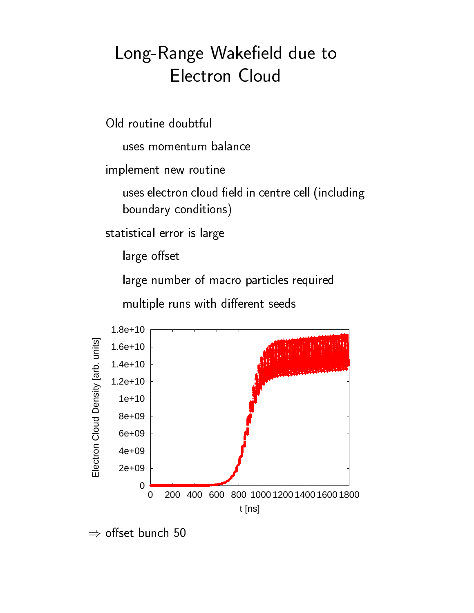## --

implement new routine

  - - - - -

statistical error is large

large offset

  -

  -  -



 $\Rightarrow$  offset bunch 50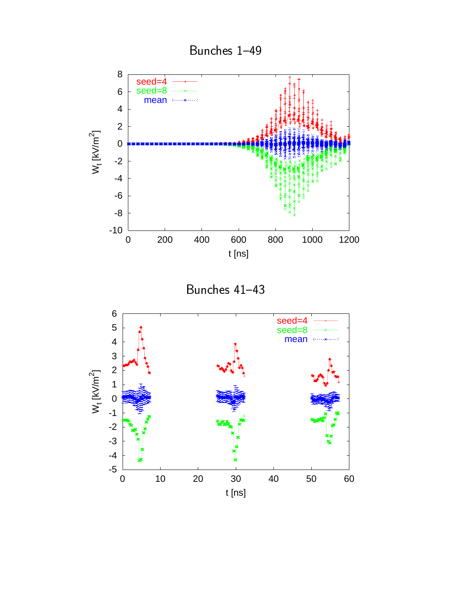

t [ns]

Bunches 1-49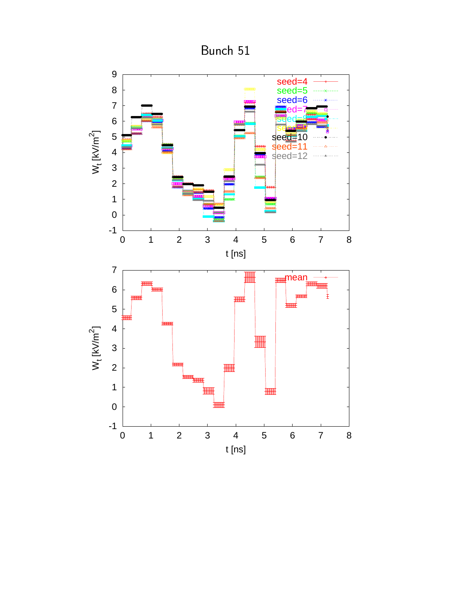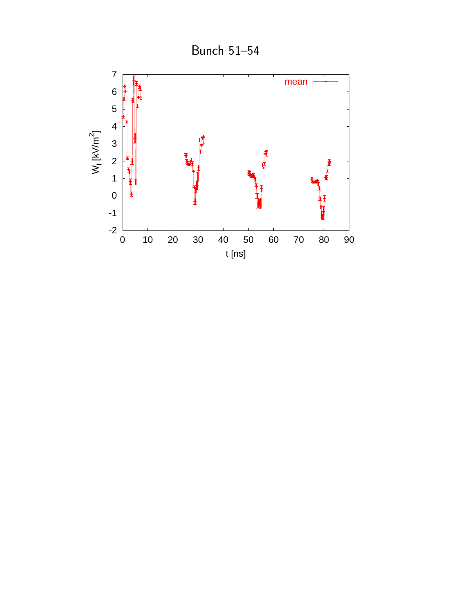

Bunch 51-54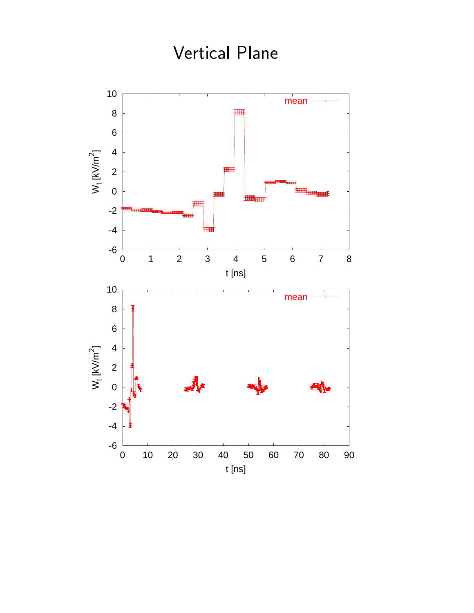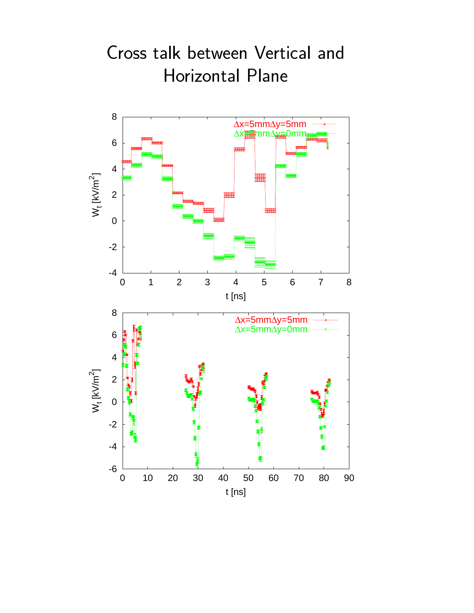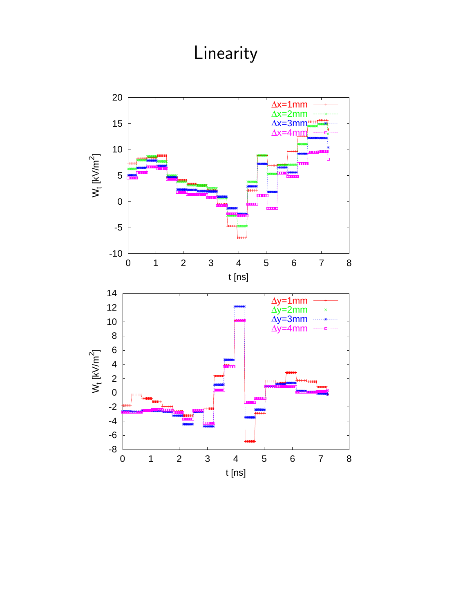## Linearity